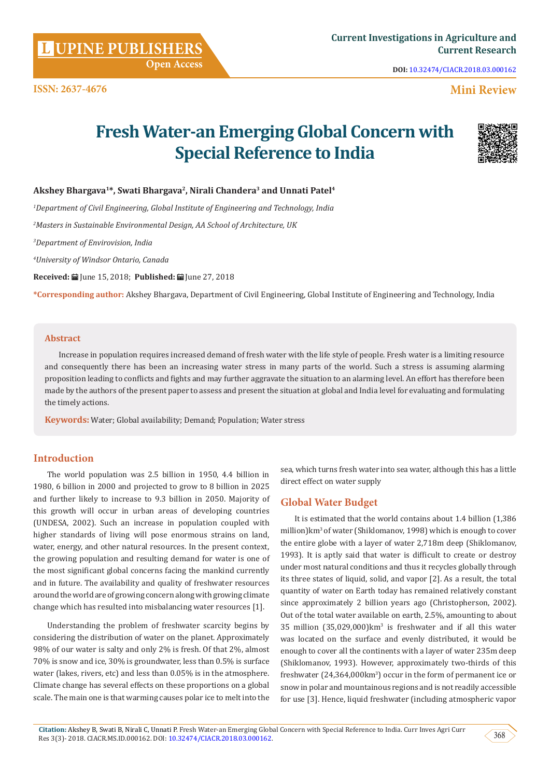**Citation:** Akshey B, Swati B, Nirali C, Unnati P. Fresh Water-an Emerging Global Concern with Special Reference to India. Curr Inves Agri Curr Res 3(3)- 2018. CIACR.MS.ID.000162. DOI: [10.32474/CIACR.2018.03.000162](http://dx.doi.org/10.32474/CIACR.2018.03.000162). 368

Out of the total water available on earth, 2.5%, amounting to about  $35$  million  $(35,029,000)$ km<sup>3</sup> is freshwater and if all this water was located on the surface and evenly distributed, it would be enough to cover all the continents with a layer of water 235m deep (Shiklomanov, 1993). However, approximately two-thirds of this freshwater (24,364,000km3 ) occur in the form of permanent ice or snow in polar and mountainous regions and is not readily accessible for use [3]. Hence, liquid freshwater (including atmospheric vapor

#### **Abstract**

Increase in population requires increased demand of fresh water with the life style of people. Fresh water is a limiting resource and consequently there has been an increasing water stress in many parts of the world. Such a stress is assuming alarming proposition leading to conflicts and fights and may further aggravate the situation to an alarming level. An effort has therefore been made by the authors of the present paper to assess and present the situation at global and India level for evaluating and formulating the timely actions.

**Keywords:** Water; Global availability; Demand; Population; Water stress

#### **Introduction**

The world population was 2.5 billion in 1950, 4.4 billion in 1980, 6 billion in 2000 and projected to grow to 8 billion in 2025 and further likely to increase to 9.3 billion in 2050. Majority of this growth will occur in urban areas of developing countries (UNDESA, 2002). Such an increase in population coupled with higher standards of living will pose enormous strains on land, water, energy, and other natural resources. In the present context, the growing population and resulting demand for water is one of the most significant global concerns facing the mankind currently and in future. The availability and quality of freshwater resources around the world are of growing concern along with growing climate change which has resulted into misbalancing water resources [1].

Understanding the problem of freshwater scarcity begins by considering the distribution of water on the planet. Approximately 98% of our water is salty and only 2% is fresh. Of that 2%, almost 70% is snow and ice, 30% is groundwater, less than 0.5% is surface water (lakes, rivers, etc) and less than 0.05% is in the atmosphere. Climate change has several effects on these proportions on a global scale. The main one is that warming causes polar ice to melt into the sea, which turns fresh water into sea water, although this has a little direct effect on water supply

### **Global Water Budget**

It is estimated that the world contains about 1.4 billion (1,386 million)km<sup>3</sup> of water (Shiklomanov, 1998) which is enough to cover the entire globe with a layer of water 2,718m deep (Shiklomanov, 1993). It is aptly said that water is difficult to create or destroy under most natural conditions and thus it recycles globally through its three states of liquid, solid, and vapor [2]. As a result, the total quantity of water on Earth today has remained relatively constant since approximately 2 billion years ago (Christopherson, 2002).

## **Akshey Bhargava1\*, Swati Bhargava2, Nirali Chandera3 and Unnati Patel4** *1 Department of Civil Engineering, Global Institute of Engineering and Technology, India*

*2 Masters in Sustainable Environmental Design, AA School of Architecture, UK*

 **Open Access**

*3 Department of Envirovision, India*

*4 University of Windsor Ontario, Canada*

**Received:** June 15, 2018; **Published:** June 27, 2018

**\*Corresponding author:** Akshey Bhargava, Department of Civil Engineering, Global Institute of Engineering and Technology, India

# **Fresh Water-an Emerging Global Concern with Special Reference to India**

 **Mini Review**

**DOI:** [10.32474/CIACR.2018.03.000162](http://dx.doi.org/10.32474/CIACR.2018.03.000162)



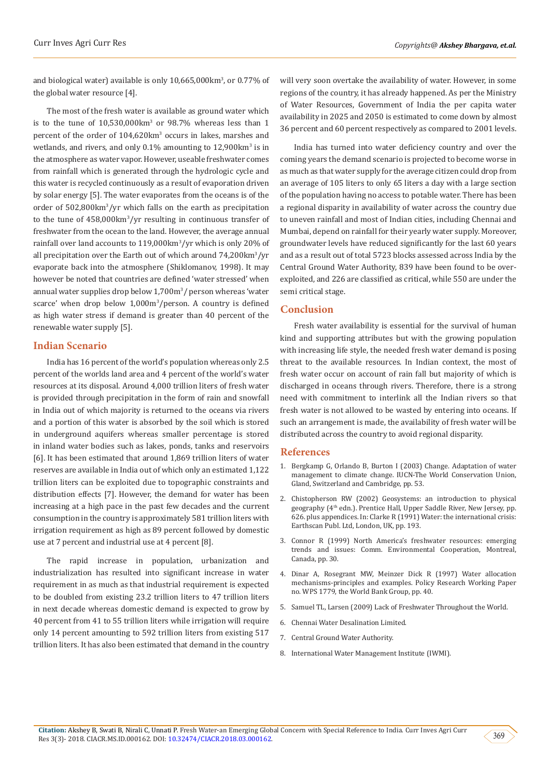and biological water) available is only 10,665,000km<sup>3</sup>, or 0.77% of the global water resource [4].

The most of the fresh water is available as ground water which is to the tune of  $10,530,000 \text{ km}^3$  or  $98.7\%$  whereas less than 1 percent of the order of 104,620km<sup>3</sup> occurs in lakes, marshes and wetlands, and rivers, and only  $0.1\%$  amounting to  $12,900$ km<sup>3</sup> is in the atmosphere as water vapor. However, useable freshwater comes from rainfall which is generated through the hydrologic cycle and this water is recycled continuously as a result of evaporation driven by solar energy [5]. The water evaporates from the oceans is of the order of 502,800km<sup>3</sup> /yr which falls on the earth as precipitation to the tune of 458,000km<sup>3</sup>/yr resulting in continuous transfer of freshwater from the ocean to the land. However, the average annual rainfall over land accounts to 119,000km3 /yr which is only 20% of all precipitation over the Earth out of which around 74,200km<sup>3</sup>/yr evaporate back into the atmosphere (Shiklomanov, 1998). It may however be noted that countries are defined 'water stressed' when annual water supplies drop below 1,700m<sup>3</sup>/ person whereas 'water scarce' when drop below 1,000m<sup>3</sup> /person. A country is defined as high water stress if demand is greater than 40 percent of the renewable water supply [5].

#### **Indian Scenario**

India has 16 percent of the world's population whereas only 2.5 percent of the worlds land area and 4 percent of the world's water resources at its disposal. Around 4,000 trillion liters of fresh water is provided through precipitation in the form of rain and snowfall in India out of which majority is returned to the oceans via rivers and a portion of this water is absorbed by the soil which is stored in underground aquifers whereas smaller percentage is stored in inland water bodies such as lakes, ponds, tanks and reservoirs [6]. It has been estimated that around 1,869 trillion liters of water reserves are available in India out of which only an estimated 1,122 trillion liters can be exploited due to topographic constraints and distribution effects [7]. However, the demand for water has been increasing at a high pace in the past few decades and the current consumption in the country is approximately 581 trillion liters with irrigation requirement as high as 89 percent followed by domestic use at 7 percent and industrial use at 4 percent [8].

The rapid increase in population, urbanization and industrialization has resulted into significant increase in water requirement in as much as that industrial requirement is expected to be doubled from existing 23.2 trillion liters to 47 trillion liters in next decade whereas domestic demand is expected to grow by 40 percent from 41 to 55 trillion liters while irrigation will require only 14 percent amounting to 592 trillion liters from existing 517 trillion liters. It has also been estimated that demand in the country

will very soon overtake the availability of water. However, in some regions of the country, it has already happened. As per the Ministry of Water Resources, Government of India the per capita water availability in 2025 and 2050 is estimated to come down by almost 36 percent and 60 percent respectively as compared to 2001 levels.

India has turned into water deficiency country and over the coming years the demand scenario is projected to become worse in as much as that water supply for the average citizen could drop from an average of 105 liters to only 65 liters a day with a large section of the population having no access to potable water. There has been a regional disparity in availability of water across the country due to uneven rainfall and most of Indian cities, including Chennai and Mumbai, depend on rainfall for their yearly water supply. Moreover, groundwater levels have reduced significantly for the last 60 years and as a result out of total 5723 blocks assessed across India by the Central Ground Water Authority, 839 have been found to be overexploited, and 226 are classified as critical, while 550 are under the semi critical stage.

#### **Conclusion**

Fresh water availability is essential for the survival of human kind and supporting attributes but with the growing population with increasing life style, the needed fresh water demand is posing threat to the available resources. In Indian context, the most of fresh water occur on account of rain fall but majority of which is discharged in oceans through rivers. Therefore, there is a strong need with commitment to interlink all the Indian rivers so that fresh water is not allowed to be wasted by entering into oceans. If such an arrangement is made, the availability of fresh water will be distributed across the country to avoid regional disparity.

#### **References**

- 1. [Bergkamp G, Orlando B, Burton I \(2003\) Change. Adaptation of water](https://www.protos.ngo/sites/default/files/library_assets/W_MIL_E21_change_adaptation.pdf) [management to climate change. IUCN-The World Conservation Union,](https://www.protos.ngo/sites/default/files/library_assets/W_MIL_E21_change_adaptation.pdf) [Gland, Switzerland and Cambridge, pp. 53.](https://www.protos.ngo/sites/default/files/library_assets/W_MIL_E21_change_adaptation.pdf)
- 2. Chistopherson RW (2002) Geosystems: an introduction to physical geography (4<sup>th</sup> edn.). Prentice Hall, Upper Saddle River, New Jersey, pp. 626. plus appendices. In: Clarke R (1991) Water: the international crisis: Earthscan Publ. Ltd, London, UK, pp. 193.
- 3. Connor R (1999) North America's freshwater resources: emerging trends and issues: Comm. Environmental Cooperation, Montreal, Canada, pp. 30.
- 4. [Dinar A, Rosegrant MW, Meinzer Dick R \(1997\) Water allocation](http://documents.worldbank.org/curated/en/640941468766210195/Water-allocation-mechanisms-principles-and-examples) [mechanisms-principles and examples. Policy Research Working Paper](http://documents.worldbank.org/curated/en/640941468766210195/Water-allocation-mechanisms-principles-and-examples) [no. WPS 1779, the World Bank Group, pp. 40.](http://documents.worldbank.org/curated/en/640941468766210195/Water-allocation-mechanisms-principles-and-examples)
- 5. Samuel TL, Larsen (2009) Lack of Freshwater Throughout the World.
- 6. Chennai Water Desalination Limited.
- 7. Central Ground Water Authority.
- 8. International Water Management Institute (IWMI).